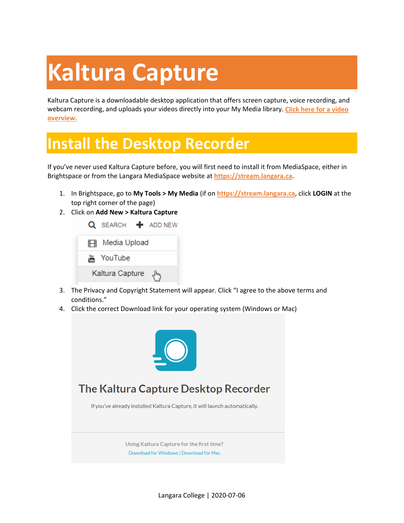# **Kaltura Capture**

Kaltura Capture is a downloadable desktop application that offers screen capture, voice recording, and webcam recording, and uploads your videos directly into your My Media library. **[Click here for a video](https://videos.kaltura.com/media/Personal+Capture+Walkthrough+Video/0_9dfagud1) [overview.](https://videos.kaltura.com/media/Personal+Capture+Walkthrough+Video/0_9dfagud1)**

## **Install the Desktop Recorder**

If you've never used Kaltura Capture before, you will first need to install it from MediaSpace, either in Brightspace or from the Langara MediaSpace website at **[https://stream.langara.ca](https://stream.langara.ca/)**.

- 1. In Brightspace, go to **My Tools > My Media** (if on **[https://stream.langara.ca](https://stream.langara.ca/)**, click **LOGIN** at the top right corner of the page)
- 2. Click on **Add New > Kaltura Capture**



- 3. The Privacy and Copyright Statement will appear. Click "I agree to the above terms and conditions."
- 4. Click the correct Download link for your operating system (Windows or Mac)



#### The Kaltura Capture Desktop Recorder

If you've already installed Kaltura Capture, it will launch automatically.

Using Kaltura Capture for the first time? Download for Windows | Download for Mac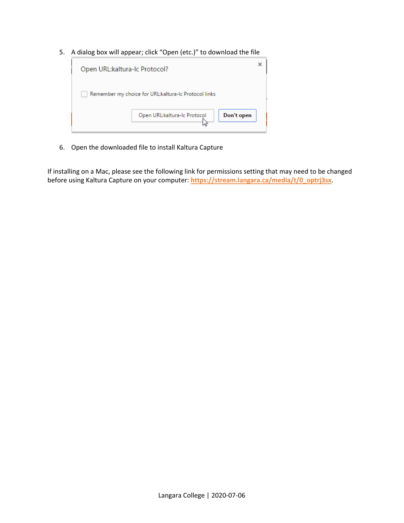5. A dialog box will appear; click "Open (etc.)" to download the file

| Open URL:kaltura-Ic Protocol?                        |                              |            |  |
|------------------------------------------------------|------------------------------|------------|--|
| Remember my choice for URL:kaltura-Ic Protocol links |                              |            |  |
|                                                      | Open URL:kaltura-Ic Protocol | Don't open |  |

6. Open the downloaded file to install Kaltura Capture

If installing on a Mac, please see the following link for permissions setting that may need to be changed before using Kaltura Capture on your computer: **[https://stream.langara.ca/media/t/0\\_optrj3sx](https://stream.langara.ca/media/t/0_optrj3sx)**.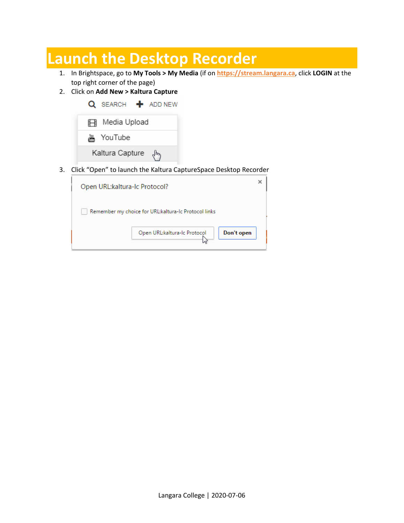### **Launch the Desktop Recorder**

- 1. In Brightspace, go to **My Tools > My Media** (if on **[https://stream.langara.ca](https://stream.langara.ca/)**, click **LOGIN** at the top right corner of the page)
- 2. Click on **Add New > Kaltura Capture**

| Q SEARCH + ADD NEW |
|--------------------|
| 用 Media Upload     |
| 湍 YouTube          |
| Kaltura Capture (Ի |

3. Click "Open" to launch the Kaltura CaptureSpace Desktop Recorder

| Open URL:kaltura-Ic Protocol?                        |  |  |  |
|------------------------------------------------------|--|--|--|
| Remember my choice for URL:kaltura-Ic Protocol links |  |  |  |
| Don't open<br>Open URL:kaltura-Ic Protocol           |  |  |  |